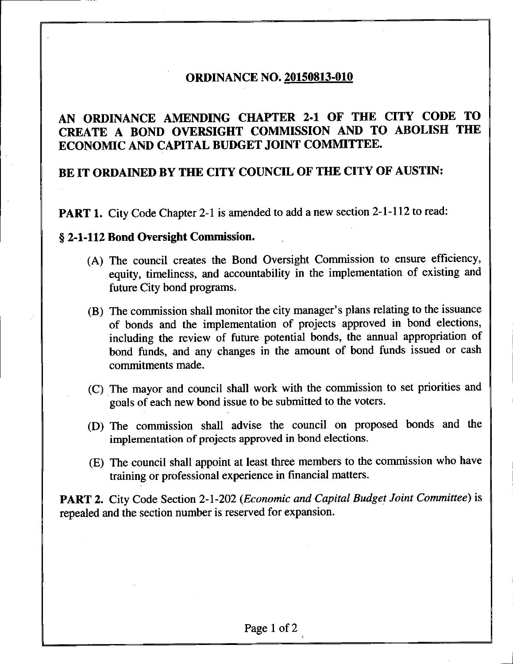## **ORDINANCE NO. 20150813-010**

## **AN ORDINANCE AMENDING CHAPTER 2-1 OF THE CITY CODE TO CREATE A BOND OVERSIGHT COMMISSION AND TO ABOLISH THE ECONOMIC AND CAPITAL BUDGET JOINT COMMITTEE.**

## **BE IT ORDAINED BY THE CITY COUNCIL OF THE CITY OF AUSTIN:**

**PART 1.** City Code Chapter 2-1 is amended to add a new section 2-1-112 to read:

## **§ 2-1-112 Bond Oversight Commission.**

- (A) The council creates the Bond Oversight Commission to ensure efficiency, equity, timeliness, and accountability in the implementation of existing and future City bond programs.
- (B) The commission shall monitor the city manager's plans relating to the issuance of bonds and the implementation of projects approved in bond elections, including the review of future potential bonds, the annual appropriation of bond funds, and any changes in the amount of bond funds issued or cash commitments made.
- (C) The mayor and council shall work with the commission to set priorities and goals of each new bond issue to be submitted to the voters.
- (D) The commission shall advise the council on proposed bonds and the implementation of projects approved in bond elections.
- (E) The council shall appoint at least three members to the commission who have training or professional experience in financial matters.

PART 2. City Code Section 2-1-202 (Economic and Capital Budget Joint Committee) is repealed and the section number is reserved for expansion.